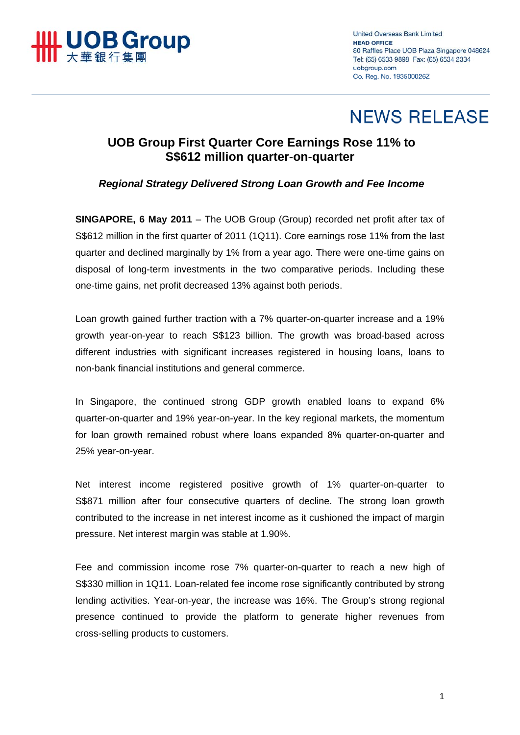

**United Overseas Bank Limited HEAD OFFICE** 80 Raffles Place UOB Plaza Singapore 048624 Tel: (65) 6533 9898 Fax: (65) 6534 2334 uobaroup.com Co. Reg. No. 193500026Z

# **NEWS RELEASE**

## **UOB Group First Quarter Core Earnings Rose 11% to S\$612 million quarter-on-quarter**

## *Regional Strategy Delivered Strong Loan Growth and Fee Income*

**SINGAPORE, 6 May 2011** – The UOB Group (Group) recorded net profit after tax of S\$612 million in the first quarter of 2011 (1Q11). Core earnings rose 11% from the last quarter and declined marginally by 1% from a year ago. There were one-time gains on disposal of long-term investments in the two comparative periods. Including these one-time gains, net profit decreased 13% against both periods.

Loan growth gained further traction with a 7% quarter-on-quarter increase and a 19% growth year-on-year to reach S\$123 billion. The growth was broad-based across different industries with significant increases registered in housing loans, loans to non-bank financial institutions and general commerce.

In Singapore, the continued strong GDP growth enabled loans to expand 6% quarter-on-quarter and 19% year-on-year. In the key regional markets, the momentum for loan growth remained robust where loans expanded 8% quarter-on-quarter and 25% year-on-year.

Net interest income registered positive growth of 1% quarter-on-quarter to S\$871 million after four consecutive quarters of decline. The strong loan growth contributed to the increase in net interest income as it cushioned the impact of margin pressure. Net interest margin was stable at 1.90%.

Fee and commission income rose 7% quarter-on-quarter to reach a new high of S\$330 million in 1Q11. Loan-related fee income rose significantly contributed by strong lending activities. Year-on-year, the increase was 16%. The Group's strong regional presence continued to provide the platform to generate higher revenues from cross-selling products to customers.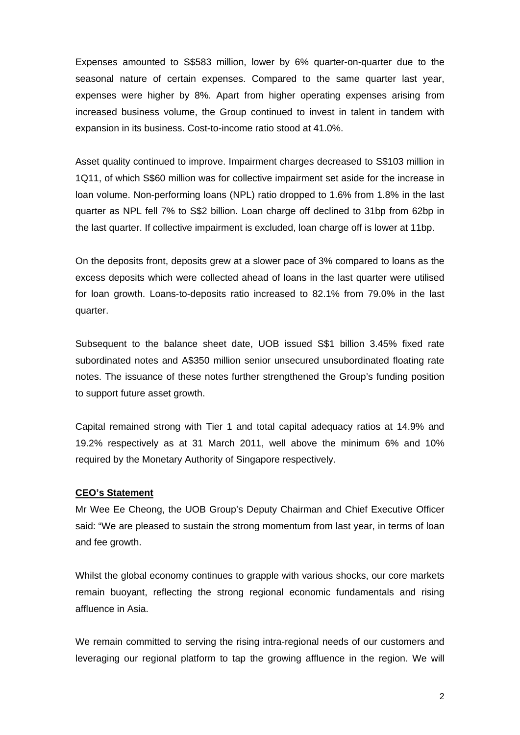Expenses amounted to S\$583 million, lower by 6% quarter-on-quarter due to the seasonal nature of certain expenses. Compared to the same quarter last year, expenses were higher by 8%. Apart from higher operating expenses arising from increased business volume, the Group continued to invest in talent in tandem with expansion in its business. Cost-to-income ratio stood at 41.0%.

Asset quality continued to improve. Impairment charges decreased to S\$103 million in 1Q11, of which S\$60 million was for collective impairment set aside for the increase in loan volume. Non-performing loans (NPL) ratio dropped to 1.6% from 1.8% in the last quarter as NPL fell 7% to S\$2 billion. Loan charge off declined to 31bp from 62bp in the last quarter. If collective impairment is excluded, loan charge off is lower at 11bp.

On the deposits front, deposits grew at a slower pace of 3% compared to loans as the excess deposits which were collected ahead of loans in the last quarter were utilised for loan growth. Loans-to-deposits ratio increased to 82.1% from 79.0% in the last quarter.

Subsequent to the balance sheet date, UOB issued S\$1 billion 3.45% fixed rate subordinated notes and A\$350 million senior unsecured unsubordinated floating rate notes. The issuance of these notes further strengthened the Group's funding position to support future asset growth.

Capital remained strong with Tier 1 and total capital adequacy ratios at 14.9% and 19.2% respectively as at 31 March 2011, well above the minimum 6% and 10% required by the Monetary Authority of Singapore respectively.

### **CEO's Statement**

Mr Wee Ee Cheong, the UOB Group's Deputy Chairman and Chief Executive Officer said: "We are pleased to sustain the strong momentum from last year, in terms of loan and fee growth.

Whilst the global economy continues to grapple with various shocks, our core markets remain buoyant, reflecting the strong regional economic fundamentals and rising affluence in Asia.

We remain committed to serving the rising intra-regional needs of our customers and leveraging our regional platform to tap the growing affluence in the region. We will